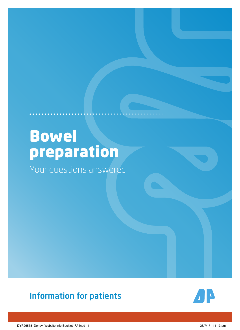# Bowel preparation

Your questions answered

### Information for patients



DYP26535\_Dendy\_Website Info Booklet\_FA.indd 1 28/7/17 11:13 am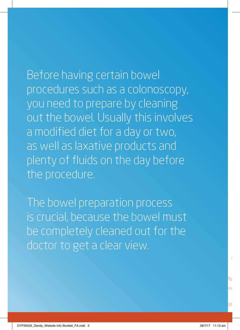Before having certain bowel procedures such as a colonoscopy, you need to prepare by cleaning out the bowel. Usually this involves a modified diet for a day or two, as well as laxative products and plenty of fluids on the day before the procedure.

The bowel preparation process is crucial, because the bowel must be completely cleaned out for the doctor to get a clear view.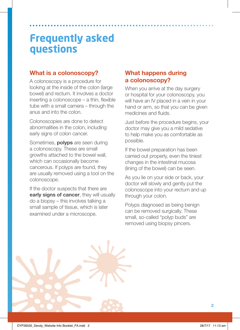#### **What is a colonoscopy?**

A colonoscopy is a procedure for looking at the inside of the colon (large bowel) and rectum. It involves a doctor inserting a colonoscope – a thin, flexible tube with a small camera – through the anus and into the colon.

Colonoscopies are done to detect abnormalities in the colon, including early signs of colon cancer.

Sometimes, **polyps** are seen during a colonoscopy. These are small growths attached to the bowel wall, which can occasionally become cancerous. If polyps are found, they are usually removed using a tool on the colonoscope.

If the doctor suspects that there are **early signs of cancer**, they will usually do a biopsy – this involves talking a small sample of tissue, which is later examined under a microscope.

### **What happens during a colonoscopy?**

When you arrive at the day surgery or hospital for your colonoscopy, you will have an IV placed in a vein in your hand or arm, so that you can be given medicines and fluids.

Just before the procedure begins, your doctor may give you a mild sedative to help make you as comfortable as possible.

If the bowel preparation has been carried out properly, even the tiniest changes in the intestinal mucosa (lining of the bowel) can be seen.

As you lie on your side or back, your doctor will slowly and gently put the colonoscope into your rectum and up through your colon.

Polyps diagnosed as being benign can be removed surgically. These small, so-called "polyp buds" are removed using biopsy pincers.

**2**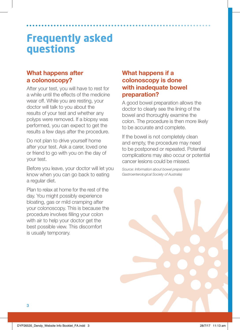### **What happens after a colonoscopy?**

After your test, you will have to rest for a while until the effects of the medicine wear off. While you are resting, your doctor will talk to you about the results of your test and whether any polyps were removed. If a biopsy was performed, you can expect to get the results a few days after the procedure.

Do not plan to drive yourself home after your test. Ask a carer, loved one or friend to go with you on the day of your test.

Before you leave, your doctor will let you know when you can go back to eating a regular diet.

Plan to relax at home for the rest of the day. You might possibly experience bloating, gas or mild cramping after your colonoscopy. This is because the procedure involves filling your colon with air to help your doctor get the best possible view. This discomfort is usually temporary.

### **What happens if a colonoscopy is done with inadequate bowel preparation?**

A good bowel preparation allows the doctor to clearly see the lining of the bowel and thoroughly examine the colon. The procedure is then more likely to be accurate and complete.

If the bowel is not completely clean and empty, the procedure may need to be postponed or repeated. Potential complications may also occur or potential cancer lesions could be missed.

*Source: Information about bowel preparation Gastroenterological Society of Australia)*

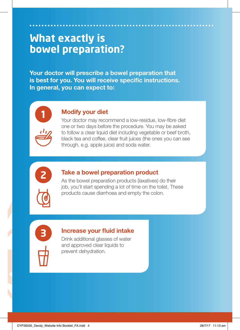### **What exactly is bowel preparation**?

**Your doctor will prescribe a bowel preparation that is best for you. You will receive specific instructions. In general, you can expect to:** 



### **1 Modify your diet**

Your doctor may recommend a low-residue, low-fibre diet one or two days before the procedure. You may be asked to follow a clear liquid diet including vegetable or beef broth, black tea and coffee, clear fruit juices (the ones you can see through, e.g. apple juice) and soda water.



#### **2 Take a bowel preparation product**

As the bowel preparation products (laxatives) do their job, you'll start spending a lot of time on the toilet. These products cause diarrhoea and empty the colon.



#### **3 Increase your fluid intake**

Drink additional glasses of water and approved clear liquids to prevent dehydration.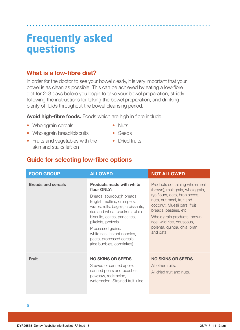#### **What is a low-fibre diet?**

In order for the doctor to see your bowel clearly, it is very important that your bowel is as clean as possible. This can be achieved by eating a low-fibre diet for 2–3 days before you begin to take your bowel preparation, strictly following the instructions for taking the bowel preparation, and drinking plenty of fluids throughout the bowel cleansing period.

**Avoid high-fibre foods.** Foods which are high in fibre include:

- Wholegrain cereals
- Wholegrain bread/biscuits
- Fruits and vegetables with the skin and stalks left on
- Nuts
- Seeds
- Dried fruits

#### **Guide for selecting low-fibre options**

| <b>FOOD GROUP</b>         | <b>ALLOWED</b>                                                                                                                                                                                                                                                                                                                                        | <b>NOT ALLOWED</b>                                                                                                                                                                                                                                                                                |
|---------------------------|-------------------------------------------------------------------------------------------------------------------------------------------------------------------------------------------------------------------------------------------------------------------------------------------------------------------------------------------------------|---------------------------------------------------------------------------------------------------------------------------------------------------------------------------------------------------------------------------------------------------------------------------------------------------|
| <b>Breads and cereals</b> | <b>Products made with white</b><br>flour ONLY:<br>Breads, sourdough breads,<br>English muffins, crumpets,<br>wraps, rolls, bagels, croissants,<br>rice and wheat crackers, plain<br>biscuits, cakes, pancakes,<br>pikelets, pretzels.<br>Processed grains:<br>white rice, instant noodles,<br>pasta, processed cereals<br>(rice bubbles, cornflakes). | Products containing wholemeal<br>(brown), multigrain, wholegrain,<br>rye flours, oats, bran seeds,<br>nuts, nut meal, fruit and<br>coconut. Muesli bars, fruit<br>breads, pastries, etc.<br>Whole grain products: brown<br>rice, wild rice, couscous,<br>polenta, quinoa, chia, bran<br>and oats. |
| <b>Fruit</b>              | <b>NO SKINS OR SEEDS</b><br>Stewed or canned apple,<br>canned pears and peaches,<br>pawpaw, rockmelon,<br>watermelon. Strained fruit juice.                                                                                                                                                                                                           | <b>NO SKINS OR SEEDS</b><br>All other fruits.<br>All dried fruit and nuts.                                                                                                                                                                                                                        |

**5**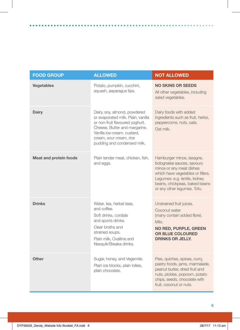| <b>FOOD GROUP</b>             | <b>ALLOWED</b>                                                                                                                                                                                                                  | <b>NOT ALLOWED</b>                                                                                                                                                                                                        |
|-------------------------------|---------------------------------------------------------------------------------------------------------------------------------------------------------------------------------------------------------------------------------|---------------------------------------------------------------------------------------------------------------------------------------------------------------------------------------------------------------------------|
| <b>Vegetables</b>             | Potato, pumpkin, zucchini,<br>squash, asparagus tips.                                                                                                                                                                           | <b>NO SKINS OR SEEDS</b><br>All other vegetables, including<br>salad vegetables.                                                                                                                                          |
| Dairy                         | Dairy, soy, almond, powdered<br>or evaporated milk. Plain, vanilla<br>or non-fruit flavoured yoghurt.<br>Cheese. Butter and margarine.<br>Vanilla ice-cream, custard,<br>cream, sour cream, rice<br>pudding and condensed milk. | Dairy foods with added<br>ingredients such as fruit, herbs,<br>peppercorns, nuts, oats.<br>Oat milk.                                                                                                                      |
| <b>Meat and protein foods</b> | Plain tender meat, chicken, fish,<br>and eggs.                                                                                                                                                                                  | Hamburger mince, lasagne,<br>bolognaise sauces, savoury<br>mince or any meat dishes<br>which have vegetables or fillers.<br>Legumes: e.g. lentils, kidney<br>beans, chickpeas, baked beans<br>or any other legumes. Tofu. |
| <b>Drinks</b>                 | Water, tea, herbal teas,<br>and coffee.<br>Soft drinks, cordials<br>and sports drinks.<br>Clear broths and<br>strained soups.<br>Plain milk. Ovaltine and<br>Nesquik/Breaka drinks.                                             | Unstrained fruit juices.<br>Coconut water<br>(many contain added fibre).<br>Milo.<br><b>NO RED, PURPLE, GREEN</b><br><b>OR BLUE COLOURED</b><br><b>DRINKS OR JELLY.</b>                                                   |
| Other                         | Sugar, honey, and Vegemite.<br>Plain ice blocks, plain lollies,<br>plain chocolate.                                                                                                                                             | Pies, quiches, spices, curry,<br>pastry foods, jams, marmalade,<br>peanut butter, dried fruit and<br>nuts, pickles, popcorn, potato<br>chips, seeds, chocolate with<br>fruit. coconut or nuts.                            |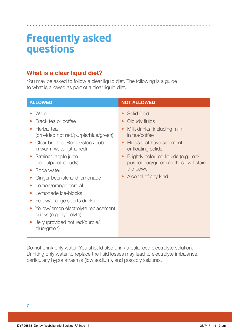### **What is a clear liquid diet?**

You may be asked to follow a clear liquid diet. The following is a guide to what is allowed as part of a clear liquid diet.

| <b>ALLOWED</b>                                                                                                                                                                                                                                                                                                                                                                                                                                                       | <b>NOT ALLOWED</b>                                                                                                                                                                                                                                                                          |
|----------------------------------------------------------------------------------------------------------------------------------------------------------------------------------------------------------------------------------------------------------------------------------------------------------------------------------------------------------------------------------------------------------------------------------------------------------------------|---------------------------------------------------------------------------------------------------------------------------------------------------------------------------------------------------------------------------------------------------------------------------------------------|
| Water<br>Black tea or coffee<br>Herbal tea<br>۰<br>(provided not red/purple/blue/green)<br>Clear broth or Bonox/stock cube<br>in warm water (strained)<br>Strained apple juice<br>(no pulp/not cloudy)<br>Soda water<br>Ginger beer/ale and lemonade<br>Lemon/orange cordial<br>$\bullet$<br>Lemonade ice-blocks<br>Yellow/orange sports drinks<br>Yellow/lemon electrolyte replacement<br>drinks (e.g. hydrolyte)<br>Jelly (provided not red/purple/<br>blue/green) | Solid food<br>Cloudy fluids<br>$\bullet$<br>Milk drinks, including milk<br>in tea/coffee<br>Fluids that have sediment<br>$\bullet$<br>or floating solids<br>Brightly coloured liquids (e.g. red/<br>$\bullet$<br>purple/blue/green) as these will stain<br>the bowel<br>Alcohol of any kind |

Do not drink only water. You should also drink a balanced electrolyte solution. Drinking only water to replace the fluid losses may lead to electrolyte imbalance, particularly hyponatraemia (low sodium), and possibly seizures.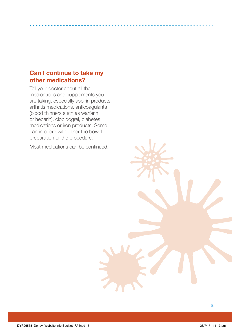### **Can I continue to take my other medications?**

Tell your doctor about all the medications and supplements you are taking, especially aspirin products, arthritis medications, anticoagulants (blood thinners such as warfarin or heparin), clopidogrel, diabetes medications or iron products. Some can interfere with either the bowel preparation or the procedure.

Most medications can be continued.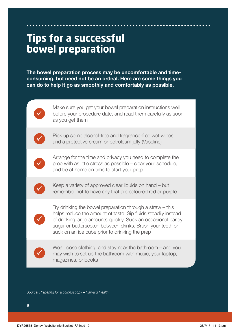### **Tips for a successful bowel preparation**

**The bowel preparation process may be uncomfortable and timeconsuming, but need not be an ordeal. Here are some things you can do to help it go as smoothly and comfortably as possible.**



Make sure you get your bowel preparation instructions well before your procedure date, and read them carefully as soon as you get them



Pick up some alcohol-free and fragrance-free wet wipes, and a protective cream or petroleum jelly (Vaseline)



Arrange for the time and privacy you need to complete the prep with as little stress as possible – clear your schedule, and be at home on time to start your prep



Keep a variety of approved clear liquids on hand – but remember not to have any that are coloured red or purple



Try drinking the bowel preparation through a straw – this helps reduce the amount of taste. Sip fluids steadily instead of drinking large amounts quickly. Suck an occasional barley sugar or butterscotch between drinks. Brush your teeth or suck on an ice cube prior to drinking the prep



Wear loose clothing, and stay near the bathroom – and you may wish to set up the bathroom with music, your laptop, magazines, or books

*Source: Preparing for a colonoscopy – Harvard Health*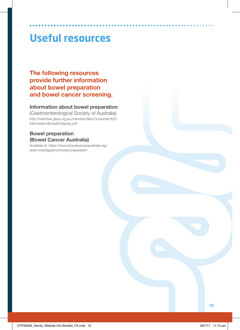## **Useful resources**

**The following resources provide further information about bowel preparation and bowel cancer screening.**

#### **Information about bowel preparation**

(Gastroenterological Society of Australia) *http://membes.gesa.org.au/membes/files/Consumer%20 Information/Bowel%20prep.pdf*

#### **Bowel preparation (Bowel Cancer Australia)**

*Available at: https://www.bowelcanceraustralia.org/ tests-investigations/bowel-preparation*